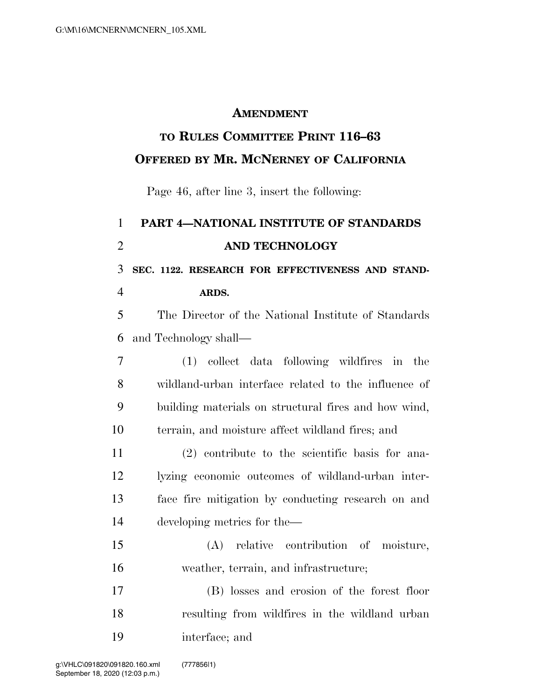## **AMENDMENT**

## **TO RULES COMMITTEE PRINT 116–63 OFFERED BY MR. MCNERNEY OF CALIFORNIA**

Page 46, after line 3, insert the following:

## **PART 4—NATIONAL INSTITUTE OF STANDARDS AND TECHNOLOGY SEC. 1122. RESEARCH FOR EFFECTIVENESS AND STAND- ARDS.**  The Director of the National Institute of Standards and Technology shall— (1) collect data following wildfires in the wildland-urban interface related to the influence of building materials on structural fires and how wind, terrain, and moisture affect wildland fires; and (2) contribute to the scientific basis for ana- lyzing economic outcomes of wildland-urban inter- face fire mitigation by conducting research on and developing metrics for the— (A) relative contribution of moisture, weather, terrain, and infrastructure; (B) losses and erosion of the forest floor resulting from wildfires in the wildland urban interface; and